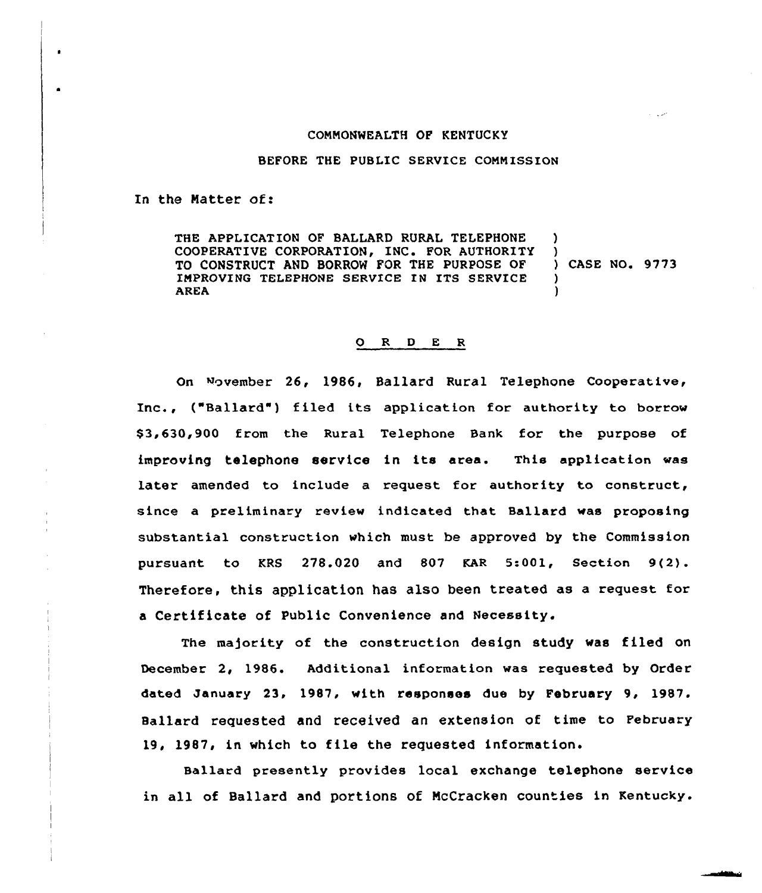## CONNONWEALTH OF KENTUCKY

## BEFORE THE PUBLIC SERVICE COMMISSION

In the Matter of:

THE APPLICATION OF BALLARD RURAL TELEPHONE ) COOPERATIVE CORPORATION, INC. FOR AUTHORITY )<br>TO CONSTRUCT AND BORROW FOR THE PURPOSE OF ) CASE NO. 9773 TO CONSTRUCT AND BORROW FOR THE PURPOSE OF IMPROVING TELEPHONE SERVICE IN ITS SERVICE )<br>AREA (1) AREA )

## 0 R <sup>D</sup> E <sup>R</sup>

On November 26, 1986, Ballard Rural Telephone Cooperative, Inc., ("Ballard") filed its application for authority to borrow \$3,630,900 from the Rural Telephone Bank for the purpose of improving telephone service in its area. This application was later amended to include a request for authority to construct, since a preliminary review indicated that Ballard was proposing substantial construction which must be approved by the Commission pursuant to KRS 278.020 and 807 KAR 5:001, Section 9(2). Therefore, this application has also been treated as a request for a Certificate of Public Convenience and Necessity.

The majority of the construction design study was filed on December 2, 1986. Additional information was requested by Order dated January 23, 1987, with responses due by February 9, 1987. Ballard requested and received an extension of time to February 19, 1987, in which to file the requested information.

Ballard presently provides local exchange telephone service in all of Ballard and portions of NcCracken counties in Kentucky.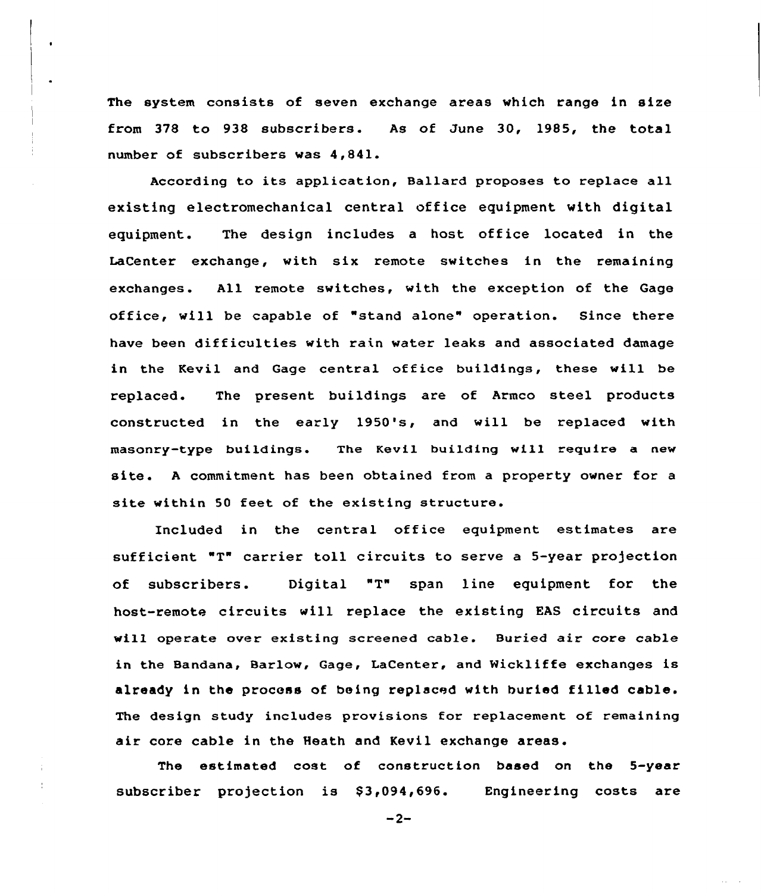The system consists of seven exchange areas which range in size from 378 to 938 subscribers. As of June 30, 1985, the total number of subscribers was 4,841.

According to its application, Ballard proposes to replace all existing electromechanical central office equipment with digital equipment. The design includes a host office located in the LaCenter exchange, with six remote switches in the remaining exchanges. All remote switches, with the exception of the Gage office, will be capable of "stand alone" operation. Since there have been difficulties with rain water leaks and associated damage in the Kevil and Gage central office buildings, these will be replaced. The present buildings are of Armco steel products constructed in the early 1950's, and will be replaced with masonry-type buildings. The Kevil building will require a new site. <sup>A</sup> commitment has been obtained from <sup>a</sup> property owner for <sup>a</sup> site within 50 feet of the existing structure.

Included in the central office equipment estimates are sufficient "T" carrier toll circuits to serve a 5-year projection of subscribers. Digital "T" span line equipment for the host-remote circuits will replace the existing EAS circuits and will operate over existing screened cable. Buried air core cable in the Bandana, Barlow, Gage, LaCenter, and Wickliffe exchanges is already in the process of being replaced with buriad filled cable. The design study includes provisions for replacement of remaining air core cable in the Heath and Kevil exchange areas.

The estimated cost of construction based on the 5-year subscriber projection is \$3,094,696. Engineering costs are

 $-2-$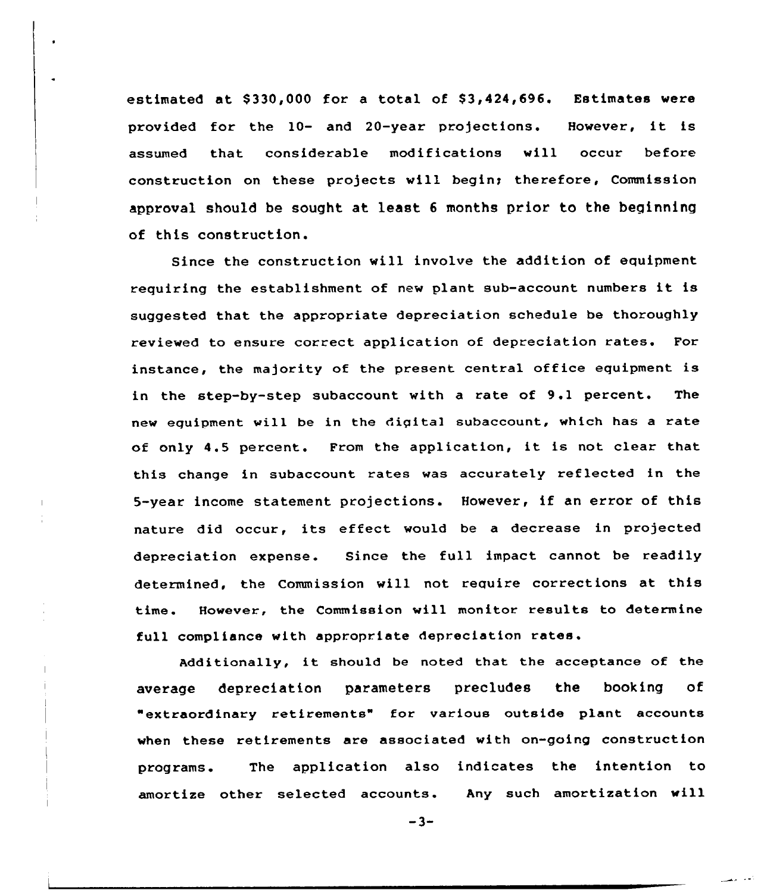estimated at \$330,000 for a total of \$3,424,696. Estimates were provided for the 10- and 20-year projections. However, it is assumed that considerable modifications will occur before construction on these projects will begin; therefore, Commission approval should be sought at least <sup>6</sup> months prior to the beginning of this construction.

Since the construction will involve the addition of equipment requiring the establishment of new plant sub-account numbers it is suggested that the appropriate depreciation schedule be thoroughly reviewed to ensure correct application of depreciation rates. For instance, the majority of the present central office equipment is in the step-by-step subaccount with a rate of 9.1 percent. The new equipment will be in the digital subaccount, which has a rate of only 4.5 percent. From the application, it is not clear that this change in subaccount rates was accurately reflected in the 5-year income statement projections. However, if an error of this nature did occur, its effect would be a decrease in projected depreciation expense. Since the full impact cannot be readily determined, the Commission will not require corrections at this time. However, the Commission will monitor results to determine full compliance with appropriate depreciation rates.

Additionally, it should be noted that the acceptance of the average depreciation parameters precludes the booking of "extraordinary retirements" for various outside plant accounts when these retirements are associated with on-going construction programs. The application also indicates the intention to amortize other selected accounts. Any such amortization will

 $-3-$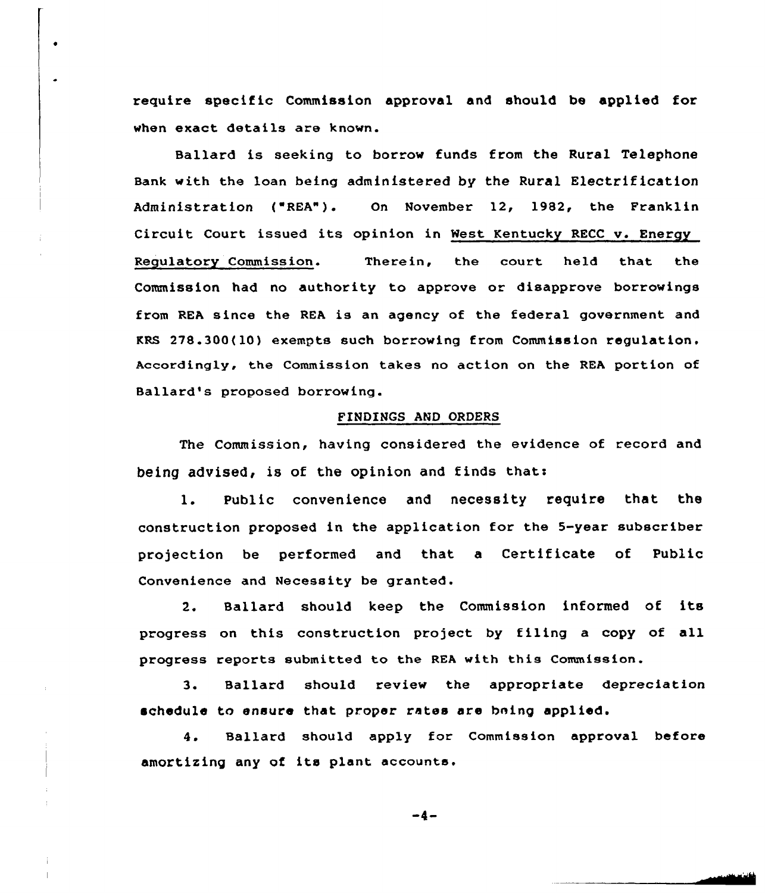require specific Commission approval and should be applied for when exact details are known.

 $\bullet$ 

Ballard is seeking to borrow funds from the Rural Telephone Bank with the loan being administered by the Rural Electrification Administration ("REA"). On November 12, 1982, the Franklin Circuit Court issued its opinion in West Kentucky RECC v. Energy Regulatory Commission. Therein, the court held that the Commission had no authority to approve or disapprove borrowings from REA since the REA is an agency of the federal government and KRS 278.300(10) exempts such borrowing from Commission regulation, Accordingly, the Commission takes no action on the REA portion of Ballard's proposed borrowing.

## FINDINGS AND ORDERS

The Commission, having considered the evidence of record and being advised, is of the opinion and finds thats

1. Public convenience and necessity require that the construction proposed in the application for the 5-year subscriber projection be performed and that a Certificate of Public Convenience and Necessity be granted.

2. Ballard should keep the Commission informed of its progress on this construction project by filing a copy of all progress reports submitted to the REA with this Commission.

3. Ballard should review the appropriate depreciation schedule to ensure that proper rates are bning applied.

4. Ballard should apply for Commission approval before amortizing any of its plant accounts.

-4-